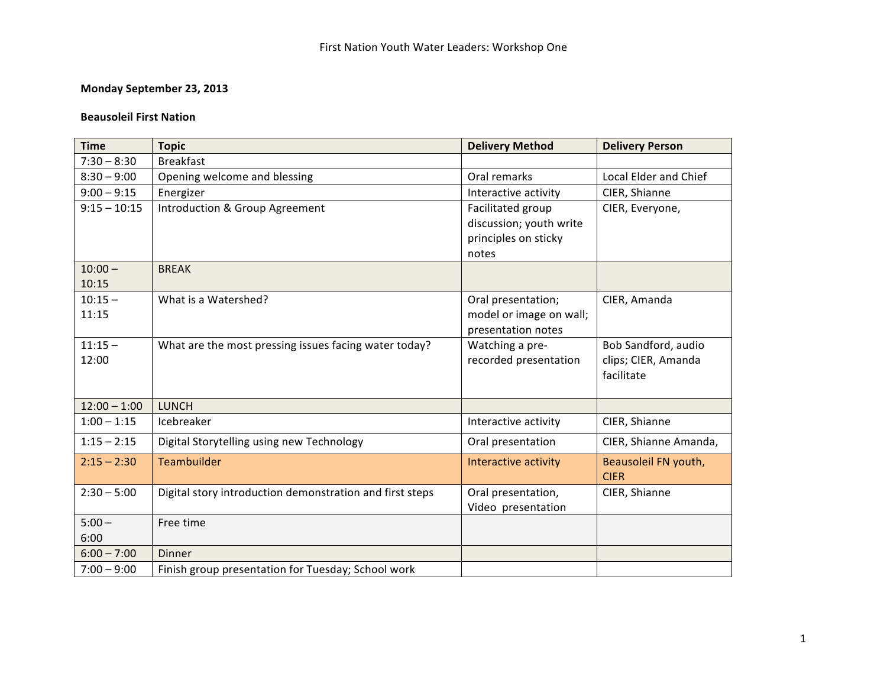## **Monday September 23, 2013**

#### **Beausoleil First Nation**

| <b>Time</b>    | <b>Topic</b>                                             | <b>Delivery Method</b>  | <b>Delivery Person</b> |
|----------------|----------------------------------------------------------|-------------------------|------------------------|
| $7:30 - 8:30$  | <b>Breakfast</b>                                         |                         |                        |
| $8:30 - 9:00$  | Opening welcome and blessing                             | Oral remarks            | Local Elder and Chief  |
| $9:00 - 9:15$  | Energizer                                                | Interactive activity    | CIER, Shianne          |
| $9:15 - 10:15$ | Introduction & Group Agreement                           | Facilitated group       | CIER, Everyone,        |
|                |                                                          | discussion; youth write |                        |
|                |                                                          | principles on sticky    |                        |
|                |                                                          | notes                   |                        |
| $10:00 -$      | <b>BREAK</b>                                             |                         |                        |
| 10:15          |                                                          |                         |                        |
| $10:15 -$      | What is a Watershed?                                     | Oral presentation;      | CIER, Amanda           |
| 11:15          |                                                          | model or image on wall; |                        |
|                |                                                          | presentation notes      |                        |
| $11:15 -$      | What are the most pressing issues facing water today?    | Watching a pre-         | Bob Sandford, audio    |
| 12:00          |                                                          | recorded presentation   | clips; CIER, Amanda    |
|                |                                                          |                         | facilitate             |
|                |                                                          |                         |                        |
| $12:00 - 1:00$ | <b>LUNCH</b>                                             |                         |                        |
| $1:00 - 1:15$  | Icebreaker                                               | Interactive activity    | CIER, Shianne          |
| $1:15 - 2:15$  | Digital Storytelling using new Technology                | Oral presentation       | CIER, Shianne Amanda,  |
| $2:15 - 2:30$  | Teambuilder                                              | Interactive activity    | Beausoleil FN youth,   |
|                |                                                          |                         | <b>CIER</b>            |
| $2:30 - 5:00$  | Digital story introduction demonstration and first steps | Oral presentation,      | CIER, Shianne          |
|                |                                                          | Video presentation      |                        |
| $5:00 -$       | Free time                                                |                         |                        |
| 6:00           |                                                          |                         |                        |
| $6:00 - 7:00$  | Dinner                                                   |                         |                        |
| $7:00 - 9:00$  | Finish group presentation for Tuesday; School work       |                         |                        |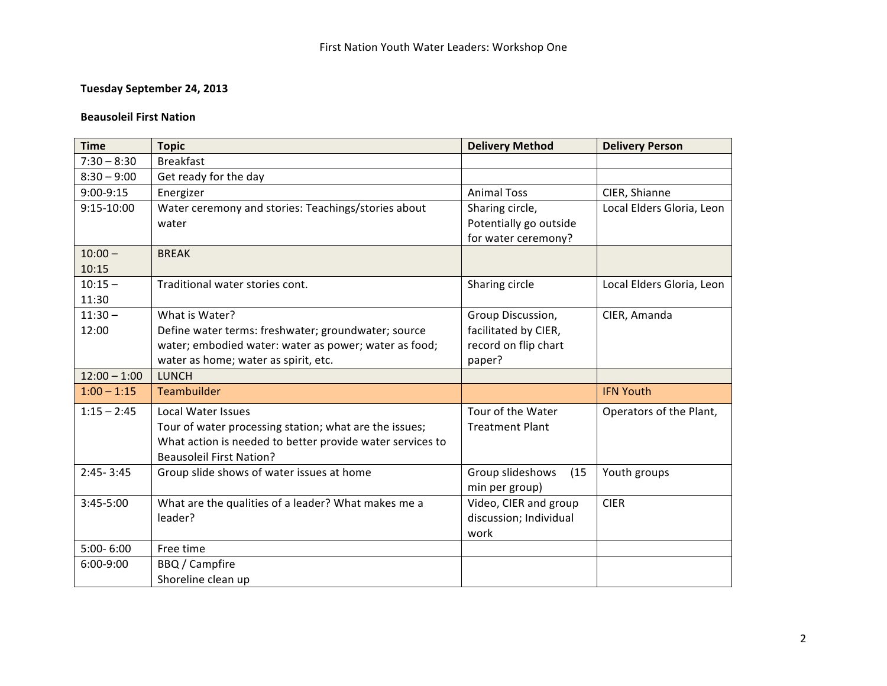## **Tuesday September 24, 2013**

#### **Beausoleil First Nation**

| <b>Time</b>    | <b>Topic</b>                                              | <b>Delivery Method</b>   | <b>Delivery Person</b>    |
|----------------|-----------------------------------------------------------|--------------------------|---------------------------|
| $7:30 - 8:30$  | <b>Breakfast</b>                                          |                          |                           |
| $8:30 - 9:00$  | Get ready for the day                                     |                          |                           |
| 9:00-9:15      | Energizer                                                 | <b>Animal Toss</b>       | CIER, Shianne             |
| $9:15 - 10:00$ | Water ceremony and stories: Teachings/stories about       | Sharing circle,          | Local Elders Gloria, Leon |
|                | water                                                     | Potentially go outside   |                           |
|                |                                                           | for water ceremony?      |                           |
| $10:00 -$      | <b>BREAK</b>                                              |                          |                           |
| 10:15          |                                                           |                          |                           |
| $10:15 -$      | Traditional water stories cont.                           | Sharing circle           | Local Elders Gloria, Leon |
| 11:30          |                                                           |                          |                           |
| $11:30 -$      | What is Water?                                            | Group Discussion,        | CIER, Amanda              |
| 12:00          | Define water terms: freshwater; groundwater; source       | facilitated by CIER,     |                           |
|                | water; embodied water: water as power; water as food;     | record on flip chart     |                           |
|                | water as home; water as spirit, etc.                      | paper?                   |                           |
| $12:00 - 1:00$ | <b>LUNCH</b>                                              |                          |                           |
| $1:00 - 1:15$  | Teambuilder                                               |                          | <b>IFN Youth</b>          |
| $1:15 - 2:45$  | <b>Local Water Issues</b>                                 | Tour of the Water        | Operators of the Plant,   |
|                | Tour of water processing station; what are the issues;    | <b>Treatment Plant</b>   |                           |
|                | What action is needed to better provide water services to |                          |                           |
|                | <b>Beausoleil First Nation?</b>                           |                          |                           |
| $2:45 - 3:45$  | Group slide shows of water issues at home                 | Group slideshows<br>(15) | Youth groups              |
|                |                                                           | min per group)           |                           |
| 3:45-5:00      | What are the qualities of a leader? What makes me a       | Video, CIER and group    | <b>CIER</b>               |
|                | leader?                                                   | discussion; Individual   |                           |
|                |                                                           | work                     |                           |
| $5:00 - 6:00$  | Free time                                                 |                          |                           |
| 6:00-9:00      | BBQ / Campfire                                            |                          |                           |
|                | Shoreline clean up                                        |                          |                           |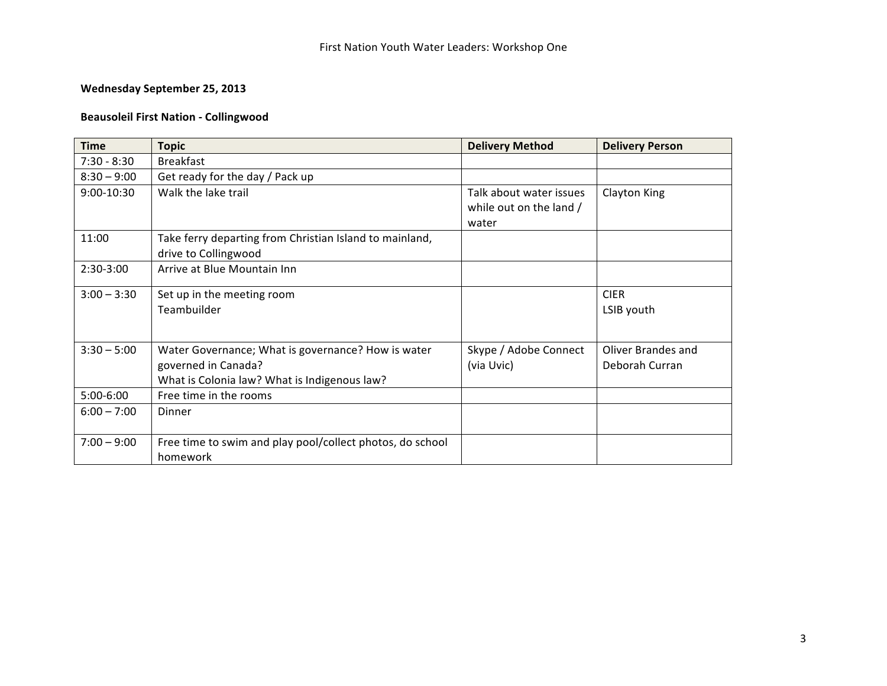## **Wednesday September 25, 2013**

## **Beausoleil First Nation - Collingwood**

| <b>Time</b>   | <b>Topic</b>                                              | <b>Delivery Method</b>  | <b>Delivery Person</b> |
|---------------|-----------------------------------------------------------|-------------------------|------------------------|
| $7:30 - 8:30$ | <b>Breakfast</b>                                          |                         |                        |
| $8:30 - 9:00$ | Get ready for the day / Pack up                           |                         |                        |
| 9:00-10:30    | Walk the lake trail                                       | Talk about water issues | Clayton King           |
|               |                                                           | while out on the land / |                        |
|               |                                                           | water                   |                        |
| 11:00         | Take ferry departing from Christian Island to mainland,   |                         |                        |
|               | drive to Collingwood                                      |                         |                        |
| $2:30-3:00$   | Arrive at Blue Mountain Inn                               |                         |                        |
| $3:00 - 3:30$ | Set up in the meeting room                                |                         | <b>CIER</b>            |
|               | Teambuilder                                               |                         | LSIB youth             |
|               |                                                           |                         |                        |
| $3:30 - 5:00$ | Water Governance; What is governance? How is water        | Skype / Adobe Connect   | Oliver Brandes and     |
|               | governed in Canada?                                       | (via Uvic)              | Deborah Curran         |
|               | What is Colonia law? What is Indigenous law?              |                         |                        |
| 5:00-6:00     | Free time in the rooms                                    |                         |                        |
| $6:00 - 7:00$ | Dinner                                                    |                         |                        |
|               |                                                           |                         |                        |
| $7:00 - 9:00$ | Free time to swim and play pool/collect photos, do school |                         |                        |
|               | homework                                                  |                         |                        |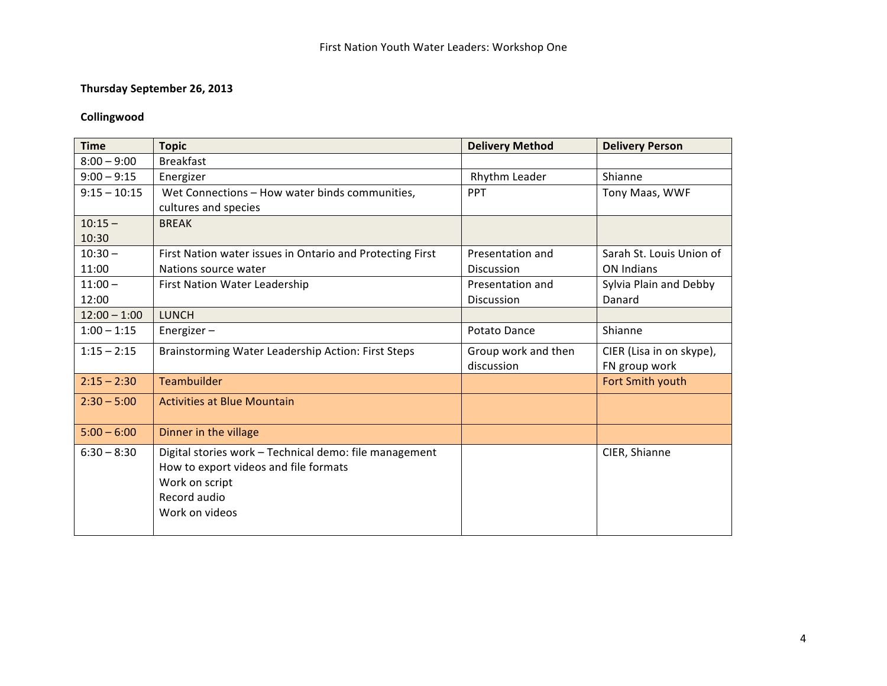## **Thursday September 26, 2013**

## **Collingwood**

| <b>Time</b>    | <b>Topic</b>                                              | <b>Delivery Method</b> | <b>Delivery Person</b>   |
|----------------|-----------------------------------------------------------|------------------------|--------------------------|
| $8:00 - 9:00$  | <b>Breakfast</b>                                          |                        |                          |
| $9:00 - 9:15$  | Energizer                                                 | Rhythm Leader          | Shianne                  |
| $9:15 - 10:15$ | Wet Connections - How water binds communities,            | <b>PPT</b>             | Tony Maas, WWF           |
|                | cultures and species                                      |                        |                          |
| $10:15 -$      | <b>BREAK</b>                                              |                        |                          |
| 10:30          |                                                           |                        |                          |
| $10:30 -$      | First Nation water issues in Ontario and Protecting First | Presentation and       | Sarah St. Louis Union of |
| 11:00          | Nations source water                                      | <b>Discussion</b>      | <b>ON Indians</b>        |
| $11:00 -$      | First Nation Water Leadership                             | Presentation and       | Sylvia Plain and Debby   |
| 12:00          |                                                           | Discussion             | Danard                   |
| $12:00 - 1:00$ | <b>LUNCH</b>                                              |                        |                          |
| $1:00 - 1:15$  | Energizer-                                                | Potato Dance           | Shianne                  |
| $1:15 - 2:15$  | Brainstorming Water Leadership Action: First Steps        | Group work and then    | CIER (Lisa in on skype), |
|                |                                                           | discussion             | FN group work            |
| $2:15 - 2:30$  | <b>Teambuilder</b>                                        |                        | Fort Smith youth         |
| $2:30 - 5:00$  | <b>Activities at Blue Mountain</b>                        |                        |                          |
| $5:00 - 6:00$  | Dinner in the village                                     |                        |                          |
| $6:30 - 8:30$  | Digital stories work - Technical demo: file management    |                        | CIER, Shianne            |
|                | How to export videos and file formats                     |                        |                          |
|                | Work on script                                            |                        |                          |
|                | Record audio                                              |                        |                          |
|                | Work on videos                                            |                        |                          |
|                |                                                           |                        |                          |